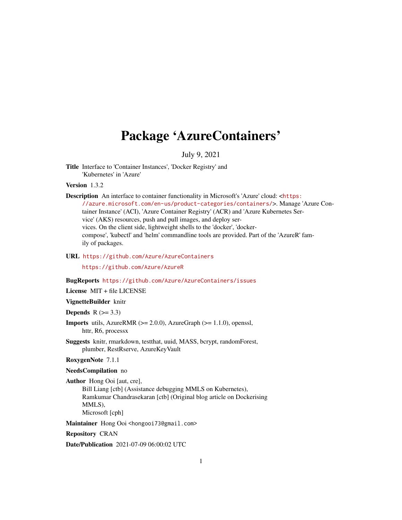# Package 'AzureContainers'

### July 9, 2021

<span id="page-0-0"></span>Title Interface to 'Container Instances', 'Docker Registry' and 'Kubernetes' in 'Azure'

Version 1.3.2

Description An interface to container functionality in Microsoft's 'Azure' cloud:  $\n <$ [https:](https://azure.microsoft.com/en-us/product-categories/containers/) [//azure.microsoft.com/en-us/product-categories/containers/](https://azure.microsoft.com/en-us/product-categories/containers/)>. Manage 'Azure Container Instance' (ACI), 'Azure Container Registry' (ACR) and 'Azure Kubernetes Service' (AKS) resources, push and pull images, and deploy services. On the client side, lightweight shells to the 'docker', 'dockercompose', 'kubectl' and 'helm' commandline tools are provided. Part of the 'AzureR' family of packages.

URL <https://github.com/Azure/AzureContainers>

<https://github.com/Azure/AzureR>

### BugReports <https://github.com/Azure/AzureContainers/issues>

License MIT + file LICENSE

VignetteBuilder knitr

**Depends**  $R$  ( $>= 3.3$ )

**Imports** utils, AzureRMR  $(>= 2.0.0)$ , AzureGraph  $(>= 1.1.0)$ , openssl, httr, R6, processx

Suggests knitr, rmarkdown, testthat, uuid, MASS, bcrypt, randomForest, plumber, RestRserve, AzureKeyVault

RoxygenNote 7.1.1

#### NeedsCompilation no

Author Hong Ooi [aut, cre], Bill Liang [ctb] (Assistance debugging MMLS on Kubernetes), Ramkumar Chandrasekaran [ctb] (Original blog article on Dockerising MMLS), Microsoft [cph]

Maintainer Hong Ooi <hongooi73@gmail.com>

Repository CRAN

Date/Publication 2021-07-09 06:00:02 UTC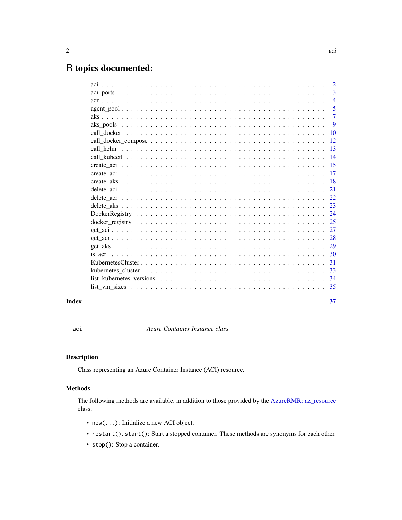# <span id="page-1-0"></span>R topics documented:

|       | $\overline{2}$ |
|-------|----------------|
|       | $\overline{3}$ |
|       | $\overline{4}$ |
|       | $\overline{5}$ |
|       | $\overline{7}$ |
|       | 9              |
|       |                |
|       |                |
|       |                |
|       |                |
|       |                |
|       |                |
|       |                |
|       |                |
|       |                |
|       |                |
|       |                |
|       |                |
|       |                |
|       |                |
|       |                |
|       |                |
|       |                |
|       |                |
|       |                |
|       |                |
| Index | 37             |

<span id="page-1-1"></span>aci *Azure Container Instance class*

## <span id="page-1-2"></span>Description

Class representing an Azure Container Instance (ACI) resource.

### Methods

The following methods are available, in addition to those provided by the [AzureRMR::az\\_resource](#page-0-0) class:

- new(...): Initialize a new ACI object.
- restart(), start(): Start a stopped container. These methods are synonyms for each other.
- stop(): Stop a container.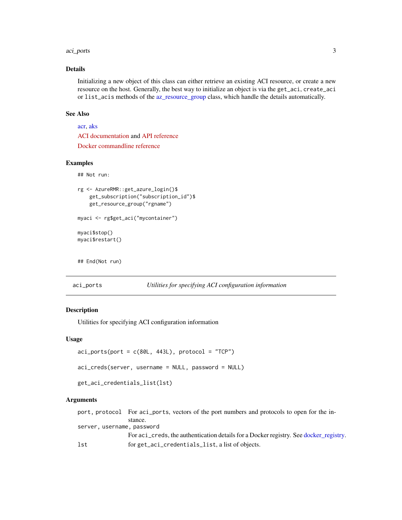#### <span id="page-2-0"></span>aci\_ports 3

### Details

Initializing a new object of this class can either retrieve an existing ACI resource, or create a new resource on the host. Generally, the best way to initialize an object is via the get\_aci, create\_aci or list\_acis methods of the [az\\_resource\\_group](#page-0-0) class, which handle the details automatically.

#### See Also

[acr,](#page-3-1) [aks](#page-6-1)

[ACI documentation](https://docs.microsoft.com/en-us/azure/container-instances/) and [API reference](https://docs.microsoft.com/en-us/rest/api/container-instances/) [Docker commandline reference](https://docs.docker.com/engine/reference/commandline/cli/)

### Examples

## Not run:

```
rg <- AzureRMR::get_azure_login()$
   get_subscription("subscription_id")$
   get_resource_group("rgname")
myaci <- rg$get_aci("mycontainer")
myaci$stop()
myaci$restart()
```
## End(Not run)

<span id="page-2-2"></span>aci\_ports *Utilities for specifying ACI configuration information*

### <span id="page-2-1"></span>Description

Utilities for specifying ACI configuration information

get\_aci\_credentials\_list(lst)

### Usage

```
aci\_ports(port = c(80L, 443L), protocol = "TCP")aci_creds(server, username = NULL, password = NULL)
```
#### Arguments

port, protocol For aci\_ports, vectors of the port numbers and protocols to open for the instance. server, username, password For aci\_creds, the authentication details for a Docker registry. See [docker\\_registry.](#page-24-1) lst for get\_aci\_credentials\_list, a list of objects.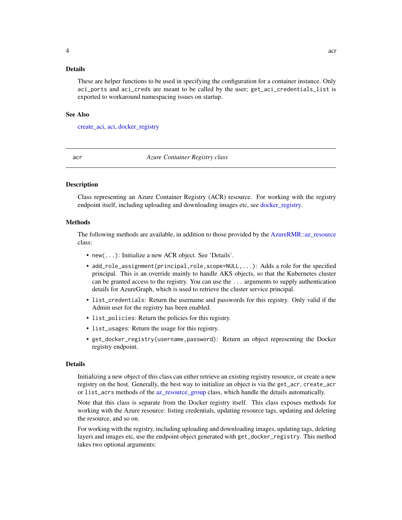### <span id="page-3-0"></span>Details

These are helper functions to be used in specifying the configuration for a container instance. Only aci\_ports and aci\_creds are meant to be called by the user; get\_aci\_credentials\_list is exported to workaround namespacing issues on startup.

#### See Also

[create\\_aci,](#page-14-1) [aci,](#page-1-1) [docker\\_registry](#page-24-1)

<span id="page-3-1"></span>acr *Azure Container Registry class*

### <span id="page-3-2"></span>Description

Class representing an Azure Container Registry (ACR) resource. For working with the registry endpoint itself, including uploading and downloading images etc, see [docker\\_registry.](#page-24-1)

#### Methods

The following methods are available, in addition to those provided by the [AzureRMR::az\\_resource](#page-0-0) class:

- new(...): Initialize a new ACR object. See 'Details'.
- add\_role\_assignment(principal,role,scope=NULL,...): Adds a role for the specified principal. This is an override mainly to handle AKS objects, so that the Kubernetes cluster can be granted access to the registry. You can use the ... arguments to supply authentication details for AzureGraph, which is used to retrieve the cluster service principal.
- list\_credentials: Return the username and passwords for this registry. Only valid if the Admin user for the registry has been enabled.
- list\_policies: Return the policies for this registry.
- list\_usages: Return the usage for this registry.
- get\_docker\_registry(username,password): Return an object representing the Docker registry endpoint.

#### Details

Initializing a new object of this class can either retrieve an existing registry resource, or create a new registry on the host. Generally, the best way to initialize an object is via the get\_acr, create\_acr or list\_acrs methods of the [az\\_resource\\_group](#page-0-0) class, which handle the details automatically.

Note that this class is separate from the Docker registry itself. This class exposes methods for working with the Azure resource: listing credentials, updating resource tags, updating and deleting the resource, and so on.

For working with the registry, including uploading and downloading images, updating tags, deleting layers and images etc, use the endpoint object generated with get\_docker\_registry. This method takes two optional arguments: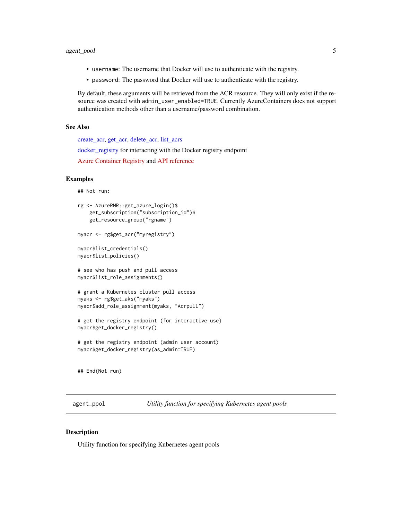### <span id="page-4-0"></span>agent\_pool 5

- username: The username that Docker will use to authenticate with the registry.
- password: The password that Docker will use to authenticate with the registry.

By default, these arguments will be retrieved from the ACR resource. They will only exist if the resource was created with admin\_user\_enabled=TRUE. Currently AzureContainers does not support authentication methods other than a username/password combination.

### See Also

[create\\_acr,](#page-16-1) [get\\_acr,](#page-27-1) [delete\\_acr,](#page-21-1) [list\\_acrs](#page-27-2) [docker\\_registry](#page-24-1) for interacting with the Docker registry endpoint [Azure Container Registry](https://docs.microsoft.com/en-us/azure/container-registry/) and [API reference](https://docs.microsoft.com/en-us/rest/api/containerregistry/registries)

### Examples

## Not run:

```
rg <- AzureRMR::get_azure_login()$
    get_subscription("subscription_id")$
   get_resource_group("rgname")
myacr <- rg$get_acr("myregistry")
myacr$list_credentials()
myacr$list_policies()
# see who has push and pull access
myacr$list_role_assignments()
```

```
# grant a Kubernetes cluster pull access
myaks <- rg$get_aks("myaks")
myacr$add_role_assignment(myaks, "Acrpull")
```

```
# get the registry endpoint (for interactive use)
myacr$get_docker_registry()
```

```
# get the registry endpoint (admin user account)
myacr$get_docker_registry(as_admin=TRUE)
```
## End(Not run)

<span id="page-4-1"></span>agent\_pool *Utility function for specifying Kubernetes agent pools*

### Description

Utility function for specifying Kubernetes agent pools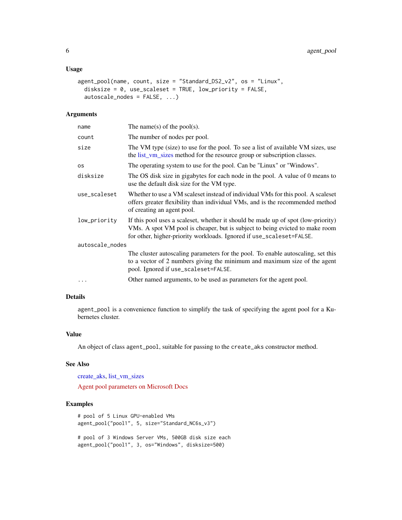### <span id="page-5-0"></span>Usage

```
agent_pool(name, count, size = "Standard_DS2_v2", os = "Linux",
 disksize = 0, use_scaleset = TRUE, low_priority = FALSE,
  autoscale_nodes = FALSE, ...)
```
### Arguments

| name            | The name(s) of the pool(s).                                                                                                                                                                                                               |
|-----------------|-------------------------------------------------------------------------------------------------------------------------------------------------------------------------------------------------------------------------------------------|
| count           | The number of nodes per pool.                                                                                                                                                                                                             |
| size            | The VM type (size) to use for the pool. To see a list of available VM sizes, use<br>the list_vm_sizes method for the resource group or subscription classes.                                                                              |
| os              | The operating system to use for the pool. Can be "Linux" or "Windows".                                                                                                                                                                    |
| disksize        | The OS disk size in gigabytes for each node in the pool. A value of 0 means to<br>use the default disk size for the VM type.                                                                                                              |
| use_scaleset    | Whether to use a VM scaleset instead of individual VMs for this pool. A scaleset<br>offers greater flexibility than individual VMs, and is the recommended method<br>of creating an agent pool.                                           |
| low_priority    | If this pool uses a scaleset, whether it should be made up of spot (low-priority)<br>VMs. A spot VM pool is cheaper, but is subject to being evicted to make room<br>for other, higher-priority workloads. Ignored if use_scaleset=FALSE. |
| autoscale_nodes |                                                                                                                                                                                                                                           |
|                 | The cluster autoscaling parameters for the pool. To enable autoscaling, set this<br>to a vector of 2 numbers giving the minimum and maximum size of the agent<br>pool. Ignored if use_scaleset=FALSE.                                     |
| .               | Other named arguments, to be used as parameters for the agent pool.                                                                                                                                                                       |
|                 |                                                                                                                                                                                                                                           |

### Details

agent\_pool is a convenience function to simplify the task of specifying the agent pool for a Kubernetes cluster.

### Value

An object of class agent\_pool, suitable for passing to the create\_aks constructor method.

### See Also

[create\\_aks,](#page-17-1) [list\\_vm\\_sizes](#page-34-1)

[Agent pool parameters on Microsoft Docs](https://docs.microsoft.com/en-us/rest/api/aks/managedclusters/createorupdate#managedclusteragentpoolprofile)

### Examples

```
# pool of 5 Linux GPU-enabled VMs
agent_pool("pool1", 5, size="Standard_NC6s_v3")
# pool of 3 Windows Server VMs, 500GB disk size each
```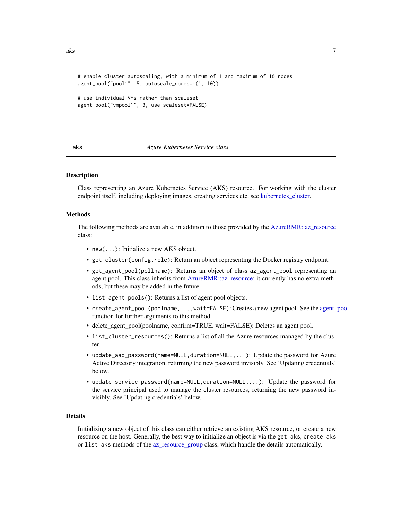```
# enable cluster autoscaling, with a minimum of 1 and maximum of 10 nodes
agent_pool("pool1", 5, autoscale_nodes=c(1, 10))
```

```
# use individual VMs rather than scaleset
agent_pool("vmpool1", 3, use_scaleset=FALSE)
```
#### <span id="page-6-1"></span>aks *Azure Kubernetes Service class*

### <span id="page-6-2"></span>**Description**

Class representing an Azure Kubernetes Service (AKS) resource. For working with the cluster endpoint itself, including deploying images, creating services etc, see kubernetes cluster.

#### Methods

The following methods are available, in addition to those provided by the [AzureRMR::az\\_resource](#page-0-0) class:

- new(...): Initialize a new AKS object.
- get\_cluster(config,role): Return an object representing the Docker registry endpoint.
- get\_agent\_pool(pollname): Returns an object of class az\_agent\_pool representing an agent pool. This class inherits from [AzureRMR::az\\_resource;](#page-0-0) it currently has no extra methods, but these may be added in the future.
- list\_agent\_pools(): Returns a list of agent pool objects.
- create\_[agent\\_pool](#page-4-1)(poolname,...,wait=FALSE): Creates a new agent pool. See the agent pool function for further arguments to this method.
- delete\_agent\_pool(poolname, confirm=TRUE. wait=FALSE): Deletes an agent pool.
- list\_cluster\_resources(): Returns a list of all the Azure resources managed by the cluster.
- update\_aad\_password(name=NULL,duration=NULL,...): Update the password for Azure Active Directory integration, returning the new password invisibly. See 'Updating credentials' below.
- update\_service\_password(name=NULL,duration=NULL,...): Update the password for the service principal used to manage the cluster resources, returning the new password invisibly. See 'Updating credentials' below.

#### Details

Initializing a new object of this class can either retrieve an existing AKS resource, or create a new resource on the host. Generally, the best way to initialize an object is via the get\_aks, create\_aks or list\_aks methods of the [az\\_resource\\_group](#page-0-0) class, which handle the details automatically.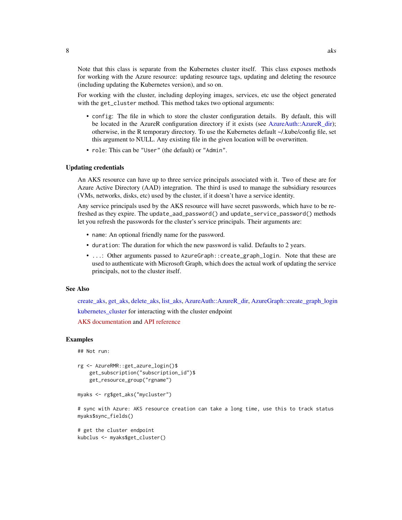<span id="page-7-0"></span>Note that this class is separate from the Kubernetes cluster itself. This class exposes methods for working with the Azure resource: updating resource tags, updating and deleting the resource (including updating the Kubernetes version), and so on.

For working with the cluster, including deploying images, services, etc use the object generated with the get\_cluster method. This method takes two optional arguments:

- config: The file in which to store the cluster configuration details. By default, this will be located in the AzureR configuration directory if it exists (see [AzureAuth::AzureR\\_dir\)](#page-0-0); otherwise, in the R temporary directory. To use the Kubernetes default ~/.kube/config file, set this argument to NULL. Any existing file in the given location will be overwritten.
- role: This can be "User" (the default) or "Admin".

#### Updating credentials

An AKS resource can have up to three service principals associated with it. Two of these are for Azure Active Directory (AAD) integration. The third is used to manage the subsidiary resources (VMs, networks, disks, etc) used by the cluster, if it doesn't have a service identity.

Any service principals used by the AKS resource will have secret passwords, which have to be refreshed as they expire. The update\_aad\_password() and update\_service\_password() methods let you refresh the passwords for the cluster's service principals. Their arguments are:

- name: An optional friendly name for the password.
- duration: The duration for which the new password is valid. Defaults to 2 years.
- ...: Other arguments passed to AzureGraph::create\_graph\_login. Note that these are used to authenticate with Microsoft Graph, which does the actual work of updating the service principals, not to the cluster itself.

### See Also

[create\\_aks,](#page-17-1) [get\\_aks,](#page-28-1) [delete\\_aks,](#page-22-1) [list\\_aks,](#page-28-2) [AzureAuth::AzureR\\_dir,](#page-0-0) [AzureGraph::create\\_graph\\_login](#page-0-0) kubernetes cluster for interacting with the cluster endpoint

[AKS documentation](https://docs.microsoft.com/en-us/azure/aks/) and [API reference](https://docs.microsoft.com/en-us/rest/api/aks/)

### Examples

## Not run:

```
rg <- AzureRMR::get_azure_login()$
   get_subscription("subscription_id")$
   get_resource_group("rgname")
```

```
myaks <- rg$get_aks("mycluster")
```
# sync with Azure: AKS resource creation can take a long time, use this to track status myaks\$sync\_fields()

```
# get the cluster endpoint
kubclus <- myaks$get_cluster()
```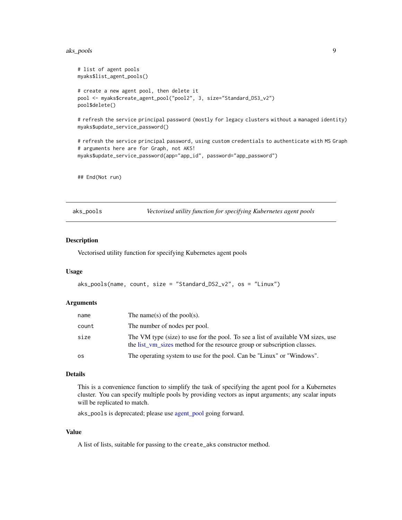#### <span id="page-8-0"></span>aks\_pools 9

```
# list of agent pools
myaks$list_agent_pools()
# create a new agent pool, then delete it
pool <- myaks$create_agent_pool("pool2", 3, size="Standard_DS3_v2")
pool$delete()
# refresh the service principal password (mostly for legacy clusters without a managed identity)
myaks$update_service_password()
# refresh the service principal password, using custom credentials to authenticate with MS Graph
# arguments here are for Graph, not AKS!
myaks$update_service_password(app="app_id", password="app_password")
```
## End(Not run)

<span id="page-8-1"></span>

| aks_pools |  |
|-----------|--|

aks\_pools *Vectorised utility function for specifying Kubernetes agent pools*

#### Description

Vectorised utility function for specifying Kubernetes agent pools

#### Usage

```
aks_pools(name, count, size = "Standard_DS2_v2", os = "Linux")
```
#### Arguments

| name  | The name(s) of the pool(s).                                                                                                                                  |
|-------|--------------------------------------------------------------------------------------------------------------------------------------------------------------|
| count | The number of nodes per pool.                                                                                                                                |
| size  | The VM type (size) to use for the pool. To see a list of available VM sizes, use<br>the list vm sizes method for the resource group or subscription classes. |
| os    | The operating system to use for the pool. Can be "Linux" or "Windows".                                                                                       |

#### Details

This is a convenience function to simplify the task of specifying the agent pool for a Kubernetes cluster. You can specify multiple pools by providing vectors as input arguments; any scalar inputs will be replicated to match.

aks\_pools is deprecated; please use [agent\\_pool](#page-4-1) going forward.

### Value

A list of lists, suitable for passing to the create\_aks constructor method.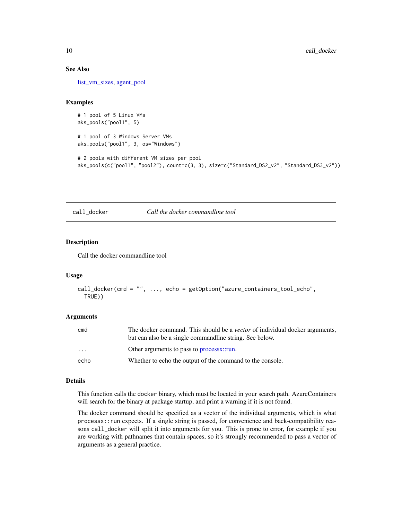### See Also

[list\\_vm\\_sizes,](#page-34-1) [agent\\_pool](#page-4-1)

### Examples

```
# 1 pool of 5 Linux VMs
aks_pools("pool1", 5)
```

```
# 1 pool of 3 Windows Server VMs
aks_pools("pool1", 3, os="Windows")
```

```
# 2 pools with different VM sizes per pool
aks_pools(c("pool1", "pool2"), count=c(3, 3), size=c("Standard_DS2_v2", "Standard_DS3_v2"))
```
<span id="page-9-1"></span>call\_docker *Call the docker commandline tool*

### Description

Call the docker commandline tool

#### Usage

```
call_docker(cmd = "", ..., echo = getOption("azure_containers_tool_echo",
  TRUE))
```
#### Arguments

| cmd      | The docker command. This should be a <i>vector</i> of individual docker arguments,<br>but can also be a single commandline string. See below. |
|----------|-----------------------------------------------------------------------------------------------------------------------------------------------|
| $\cdots$ | Other arguments to pass to processx::run.                                                                                                     |
| echo     | Whether to echo the output of the command to the console.                                                                                     |

### Details

This function calls the docker binary, which must be located in your search path. AzureContainers will search for the binary at package startup, and print a warning if it is not found.

The docker command should be specified as a vector of the individual arguments, which is what processx::run expects. If a single string is passed, for convenience and back-compatibility reasons call\_docker will split it into arguments for you. This is prone to error, for example if you are working with pathnames that contain spaces, so it's strongly recommended to pass a vector of arguments as a general practice.

<span id="page-9-0"></span>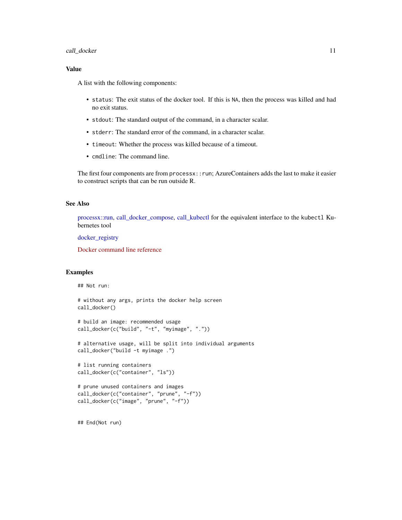### <span id="page-10-0"></span>call\_docker 11

### Value

A list with the following components:

- status: The exit status of the docker tool. If this is NA, then the process was killed and had no exit status.
- stdout: The standard output of the command, in a character scalar.
- stderr: The standard error of the command, in a character scalar.
- timeout: Whether the process was killed because of a timeout.
- cmdline: The command line.

The first four components are from processx::run; AzureContainers adds the last to make it easier to construct scripts that can be run outside R.

### See Also

[processx::run,](#page-0-0) [call\\_docker\\_compose,](#page-11-1) [call\\_kubectl](#page-13-1) for the equivalent interface to the kubectl Kubernetes tool

[docker\\_registry](#page-24-1)

[Docker command line reference](https://docs.docker.com/engine/reference/commandline/cli/)

#### Examples

## Not run:

```
# without any args, prints the docker help screen
call_docker()
```

```
# build an image: recommended usage
call_docker(c("build", "-t", "myimage", "."))
```
# alternative usage, will be split into individual arguments call\_docker("build -t myimage .")

```
# list running containers
call_docker(c("container", "ls"))
```

```
# prune unused containers and images
call_docker(c("container", "prune", "-f"))
call_docker(c("image", "prune", "-f"))
```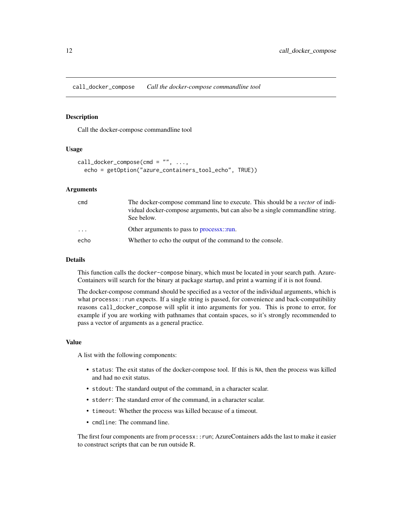<span id="page-11-1"></span><span id="page-11-0"></span>call\_docker\_compose *Call the docker-compose commandline tool*

#### **Description**

Call the docker-compose commandline tool

#### Usage

```
call\_docker\_composite(cmd = "", ...,echo = getOption("azure_containers_tool_echo", TRUE))
```
### Arguments

| cmd                     | The docker-compose command line to execute. This should be a <i>vector</i> of indi-         |
|-------------------------|---------------------------------------------------------------------------------------------|
|                         | vidual docker-compose arguments, but can also be a single commandline string.<br>See below. |
| $\cdot$ $\cdot$ $\cdot$ | Other arguments to pass to processx::run.                                                   |
| echo                    | Whether to echo the output of the command to the console.                                   |

#### Details

This function calls the docker-compose binary, which must be located in your search path. Azure-Containers will search for the binary at package startup, and print a warning if it is not found.

The docker-compose command should be specified as a vector of the individual arguments, which is what processx::run expects. If a single string is passed, for convenience and back-compatibility reasons call\_docker\_compose will split it into arguments for you. This is prone to error, for example if you are working with pathnames that contain spaces, so it's strongly recommended to pass a vector of arguments as a general practice.

#### Value

A list with the following components:

- status: The exit status of the docker-compose tool. If this is NA, then the process was killed and had no exit status.
- stdout: The standard output of the command, in a character scalar.
- stderr: The standard error of the command, in a character scalar.
- timeout: Whether the process was killed because of a timeout.
- cmdline: The command line.

The first four components are from processx::run; AzureContainers adds the last to make it easier to construct scripts that can be run outside R.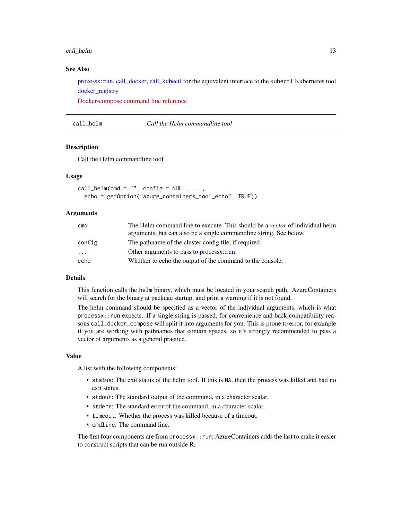#### <span id="page-12-0"></span>call\_helm 13

### See Also

[processx::run,](#page-0-0) [call\\_docker,](#page-9-1) [call\\_kubectl](#page-13-1) for the equivalent interface to the kubectl Kubernetes tool [docker\\_registry](#page-24-1)

[Docker-compose command line reference](https://docs.docker.com/compose/)

### <span id="page-12-1"></span>call\_helm *Call the Helm commandline tool*

### **Description**

Call the Helm commandline tool

### Usage

```
call_helm(cmd = ", config = NULL, ...,
 echo = getOption("azure_containers_tool_echo", TRUE))
```
### Arguments

| cmd      | The Helm command line to execute. This should be a <i>vector</i> of individual helm |
|----------|-------------------------------------------------------------------------------------|
|          | arguments, but can also be a single commandline string. See below.                  |
| config   | The pathname of the cluster config file, if required.                               |
| $\cdots$ | Other arguments to pass to processx::run.                                           |
| echo     | Whether to echo the output of the command to the console.                           |

### Details

This function calls the helm binary, which must be located in your search path. AzureContainers will search for the binary at package startup, and print a warning if it is not found.

The helm command should be specified as a vector of the individual arguments, which is what processx::run expects. If a single string is passed, for convenience and back-compatibility reasons call\_docker\_compose will split it into arguments for you. This is prone to error, for example if you are working with pathnames that contain spaces, so it's strongly recommended to pass a vector of arguments as a general practice.

#### Value

A list with the following components:

- status: The exit status of the helm tool. If this is NA, then the process was killed and had no exit status.
- stdout: The standard output of the command, in a character scalar.
- stderr: The standard error of the command, in a character scalar.
- timeout: Whether the process was killed because of a timeout.
- cmdline: The command line.

The first four components are from processx::run; AzureContainers adds the last to make it easier to construct scripts that can be run outside R.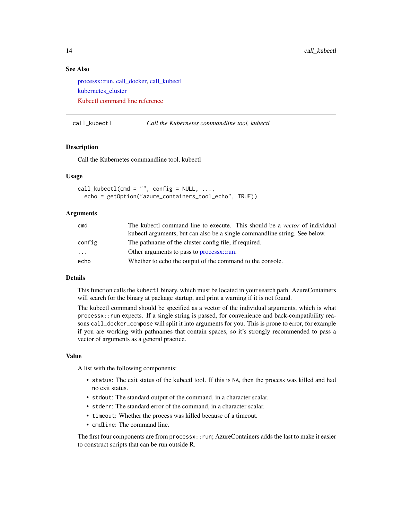### <span id="page-13-0"></span>See Also

[processx::run,](#page-0-0) [call\\_docker,](#page-9-1) [call\\_kubectl](#page-13-1) kubernetes cluster [Kubectl command line reference](https://kubernetes.io/docs/reference/kubectl/overview/)

<span id="page-13-1"></span>call\_kubectl *Call the Kubernetes commandline tool, kubectl*

### **Description**

Call the Kubernetes commandline tool, kubectl

### Usage

```
call_kubectl(cmd = "", config = NULL, ...,echo = getOption("azure_containers_tool_echo", TRUE))
```
### Arguments

| cmd      | The kubectl command line to execute. This should be a <i>vector</i> of individual |
|----------|-----------------------------------------------------------------------------------|
|          | kubectl arguments, but can also be a single commandline string. See below.        |
| config   | The pathname of the cluster config file, if required.                             |
| $\cdots$ | Other arguments to pass to processx::run.                                         |
| echo     | Whether to echo the output of the command to the console.                         |

### Details

This function calls the kubectl binary, which must be located in your search path. AzureContainers will search for the binary at package startup, and print a warning if it is not found.

The kubectl command should be specified as a vector of the individual arguments, which is what processx::run expects. If a single string is passed, for convenience and back-compatibility reasons call\_docker\_compose will split it into arguments for you. This is prone to error, for example if you are working with pathnames that contain spaces, so it's strongly recommended to pass a vector of arguments as a general practice.

#### Value

A list with the following components:

- status: The exit status of the kubectl tool. If this is NA, then the process was killed and had no exit status.
- stdout: The standard output of the command, in a character scalar.
- stderr: The standard error of the command, in a character scalar.
- timeout: Whether the process was killed because of a timeout.
- cmdline: The command line.

The first four components are from processx::run; AzureContainers adds the last to make it easier to construct scripts that can be run outside R.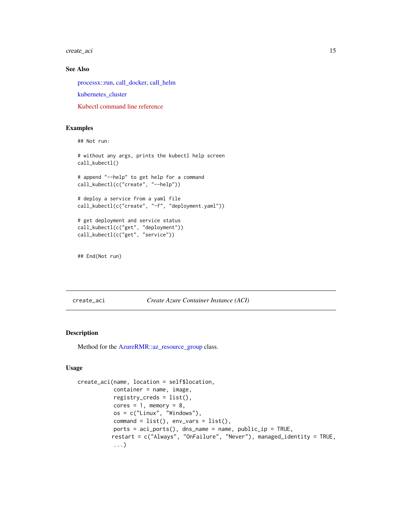<span id="page-14-0"></span>create\_aci 15

### See Also

[processx::run,](#page-0-0) [call\\_docker,](#page-9-1) [call\\_helm](#page-12-1)

[kubernetes\\_cluster](#page-32-1)

[Kubectl command line reference](https://kubernetes.io/docs/reference/kubectl/overview/)

### Examples

```
## Not run:
```
# without any args, prints the kubectl help screen call\_kubectl() # append "--help" to get help for a command call\_kubectl(c("create", "--help")) # deploy a service from a yaml file call\_kubectl(c("create", "-f", "deployment.yaml")) # get deployment and service status call\_kubectl(c("get", "deployment")) call\_kubectl(c("get", "service"))

## End(Not run)

<span id="page-14-1"></span>create\_aci *Create Azure Container Instance (ACI)*

### Description

Method for the [AzureRMR::az\\_resource\\_group](#page-0-0) class.

### Usage

```
create_aci(name, location = self$location,
           container = name, image,
           registry_creds = list(),
           cores = 1, memory = 8,
           os = c("Linux", "Windows"),
           command = list(), env_{vars} = list(),
          ports = aci_ports(), dns_name = name, public_ip = TRUE,
          restart = c("Always", "OnFailure", "Never"), managed_identity = TRUE,
           ...)
```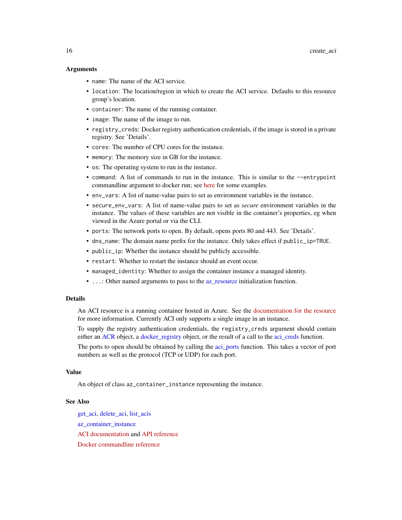#### <span id="page-15-0"></span>Arguments

- name: The name of the ACI service.
- location: The location/region in which to create the ACI service. Defaults to this resource group's location.
- container: The name of the running container.
- image: The name of the image to run.
- registry\_creds: Docker registry authentication credentials, if the image is stored in a private registry. See 'Details'.
- cores: The number of CPU cores for the instance.
- memory: The memory size in GB for the instance.
- os: The operating system to run in the instance.
- command: A list of commands to run in the instance. This is similar to the --entrypoint commandline argument to docker run; see [here](https://docs.microsoft.com/en-us/azure/container-instances/container-instances-start-command) for some examples.
- env\_vars: A list of name-value pairs to set as environment variables in the instance.
- secure\_env\_vars: A list of name-value pairs to set as *secure* environment variables in the instance. The values of these variables are not visible in the container's properties, eg when viewed in the Azure portal or via the CLI.
- ports: The network ports to open. By default, opens ports 80 and 443. See 'Details'.
- dns\_name: The domain name prefix for the instance. Only takes effect if public\_ip=TRUE.
- public\_ip: Whether the instance should be publicly accessible.
- restart: Whether to restart the instance should an event occur.
- managed\_identity: Whether to assign the container instance a managed identity.
- ...: Other named arguments to pass to the [az\\_resource](#page-0-0) initialization function.

#### Details

An ACI resource is a running container hosted in Azure. See the [documentation for the resource](https://docs.microsoft.com/en-us/azure/container-instances/) for more information. Currently ACI only supports a single image in an instance.

To supply the registry authentication credentials, the registry\_creds argument should contain either an [ACR](#page-3-1) object, a [docker\\_registry](#page-24-1) object, or the result of a call to the [aci\\_creds](#page-2-1) function.

The ports to open should be obtained by calling the [aci\\_ports](#page-2-2) function. This takes a vector of port numbers as well as the protocol (TCP or UDP) for each port.

#### Value

An object of class az\_container\_instance representing the instance.

#### See Also

[get\\_aci,](#page-26-1) [delete\\_aci,](#page-20-1) [list\\_acis](#page-26-2) az container instance [ACI documentation](https://docs.microsoft.com/en-us/azure/container-instances/) and [API reference](https://docs.microsoft.com/en-us/rest/api/container-instances/) [Docker commandline reference](https://docs.docker.com/engine/reference/commandline/cli/)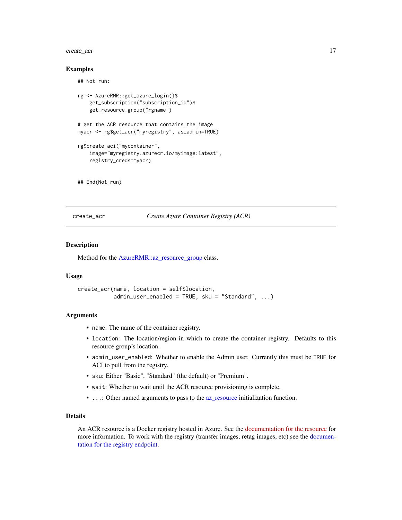#### <span id="page-16-0"></span>create\_acr 17

### Examples

```
## Not run:
rg <- AzureRMR::get_azure_login()$
    get_subscription("subscription_id")$
   get_resource_group("rgname")
# get the ACR resource that contains the image
myacr <- rg$get_acr("myregistry", as_admin=TRUE)
rg$create_aci("mycontainer",
    image="myregistry.azurecr.io/myimage:latest",
    registry_creds=myacr)
## End(Not run)
```
<span id="page-16-1"></span>create\_acr *Create Azure Container Registry (ACR)*

### **Description**

Method for the [AzureRMR::az\\_resource\\_group](#page-0-0) class.

#### Usage

```
create_acr(name, location = self$location,
           admin\_user\_enabled = TRUE, sku = "Standard", ...)
```
#### Arguments

- name: The name of the container registry.
- location: The location/region in which to create the container registry. Defaults to this resource group's location.
- admin\_user\_enabled: Whether to enable the Admin user. Currently this must be TRUE for ACI to pull from the registry.
- sku: Either "Basic", "Standard" (the default) or "Premium".
- wait: Whether to wait until the ACR resource provisioning is complete.
- ...: Other named arguments to pass to the [az\\_resource](#page-0-0) initialization function.

### Details

An ACR resource is a Docker registry hosted in Azure. See the [documentation for the resource](https://docs.microsoft.com/en-us/azure/container-registry/) for more information. To work with the registry (transfer images, retag images, etc) see the [documen](#page-24-1)[tation for the registry endpoint.](#page-24-1)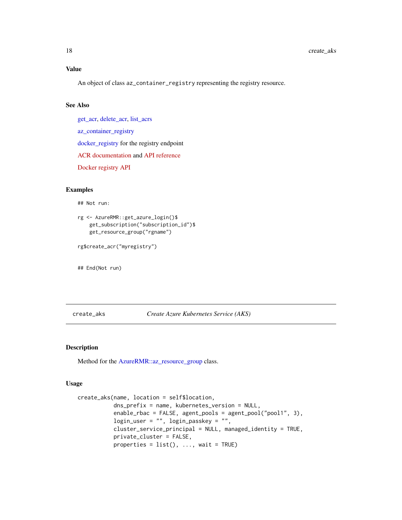### Value

An object of class az\_container\_registry representing the registry resource.

### See Also

[get\\_acr,](#page-27-1) [delete\\_acr,](#page-21-1) [list\\_acrs](#page-27-2)

[az\\_container\\_registry](#page-3-2)

[docker\\_registry](#page-24-1) for the registry endpoint

[ACR documentation](https://docs.microsoft.com/en-us/azure/container-registry/) and [API reference](https://docs.microsoft.com/en-us/rest/api/containerregistry/registries)

[Docker registry API](https://docs.docker.com/registry/spec/api/)

#### Examples

## Not run:

rg <- AzureRMR::get\_azure\_login()\$ get\_subscription("subscription\_id")\$ get\_resource\_group("rgname")

rg\$create\_acr("myregistry")

## End(Not run)

<span id="page-17-1"></span>create\_aks *Create Azure Kubernetes Service (AKS)*

### Description

Method for the [AzureRMR::az\\_resource\\_group](#page-0-0) class.

### Usage

```
create_aks(name, location = self$location,
           dns_prefix = name, kubernetes_version = NULL,
           enable_rbac = FALSE, agent_pools = agent_pool("pool1", 3),
           login_user = "", login_passkey = "",
           cluster_service_principal = NULL, managed_identity = TRUE,
           private_cluster = FALSE,
           properties = list(), ..., wait = TRUE)
```
<span id="page-17-0"></span>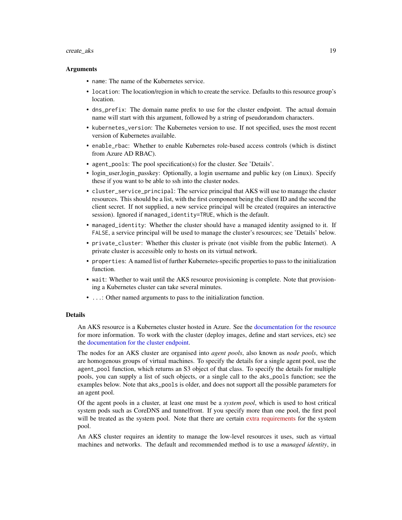#### <span id="page-18-0"></span>create\_aks 19

#### Arguments

- name: The name of the Kubernetes service.
- location: The location/region in which to create the service. Defaults to this resource group's location.
- dns\_prefix: The domain name prefix to use for the cluster endpoint. The actual domain name will start with this argument, followed by a string of pseudorandom characters.
- kubernetes\_version: The Kubernetes version to use. If not specified, uses the most recent version of Kubernetes available.
- enable\_rbac: Whether to enable Kubernetes role-based access controls (which is distinct from Azure AD RBAC).
- agent\_pools: The pool specification(s) for the cluster. See 'Details'.
- login\_user,login\_passkey: Optionally, a login username and public key (on Linux). Specify these if you want to be able to ssh into the cluster nodes.
- cluster\_service\_principal: The service principal that AKS will use to manage the cluster resources. This should be a list, with the first component being the client ID and the second the client secret. If not supplied, a new service principal will be created (requires an interactive session). Ignored if managed\_identity=TRUE, which is the default.
- managed\_identity: Whether the cluster should have a managed identity assigned to it. If FALSE, a service principal will be used to manage the cluster's resources; see 'Details' below.
- private\_cluster: Whether this cluster is private (not visible from the public Internet). A private cluster is accessible only to hosts on its virtual network.
- properties: A named list of further Kubernetes-specific properties to pass to the initialization function.
- wait: Whether to wait until the AKS resource provisioning is complete. Note that provisioning a Kubernetes cluster can take several minutes.
- ...: Other named arguments to pass to the initialization function.

#### Details

An AKS resource is a Kubernetes cluster hosted in Azure. See the [documentation for the resource](#page-6-1) for more information. To work with the cluster (deploy images, define and start services, etc) see the [documentation for the cluster endpoint.](#page-32-1)

The nodes for an AKS cluster are organised into *agent pools*, also known as *node pools*, which are homogenous groups of virtual machines. To specify the details for a single agent pool, use the agent\_pool function, which returns an S3 object of that class. To specify the details for multiple pools, you can supply a list of such objects, or a single call to the aks\_pools function; see the examples below. Note that aks\_pools is older, and does not support all the possible parameters for an agent pool.

Of the agent pools in a cluster, at least one must be a *system pool*, which is used to host critical system pods such as CoreDNS and tunnelfront. If you specify more than one pool, the first pool will be treated as the system pool. Note that there are certain [extra requirements](https://docs.microsoft.com/en-us/azure/aks/use-system-pools) for the system pool.

An AKS cluster requires an identity to manage the low-level resources it uses, such as virtual machines and networks. The default and recommended method is to use a *managed identity*, in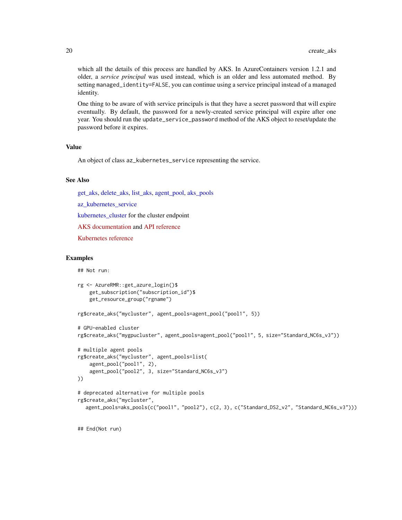<span id="page-19-0"></span>which all the details of this process are handled by AKS. In AzureContainers version 1.2.1 and older, a *service principal* was used instead, which is an older and less automated method. By setting managed\_identity=FALSE, you can continue using a service principal instead of a managed identity.

One thing to be aware of with service principals is that they have a secret password that will expire eventually. By default, the password for a newly-created service principal will expire after one year. You should run the update\_service\_password method of the AKS object to reset/update the password before it expires.

#### Value

An object of class az\_kubernetes\_service representing the service.

### See Also

[get\\_aks,](#page-28-1) [delete\\_aks,](#page-22-1) [list\\_aks,](#page-28-2) [agent\\_pool,](#page-4-1) [aks\\_pools](#page-8-1)

az kubernetes service

[kubernetes\\_cluster](#page-32-1) for the cluster endpoint

[AKS documentation](https://docs.microsoft.com/en-us/azure/aks/) and [API reference](https://docs.microsoft.com/en-us/rest/api/aks/)

[Kubernetes reference](https://kubernetes.io/docs/reference/)

#### Examples

## Not run:

```
rg <- AzureRMR::get_azure_login()$
   get_subscription("subscription_id")$
   get_resource_group("rgname")
```
rg\$create\_aks("mycluster", agent\_pools=agent\_pool("pool1", 5))

```
# GPU-enabled cluster
rg$create_aks("mygpucluster", agent_pools=agent_pool("pool1", 5, size="Standard_NC6s_v3"))
```

```
# multiple agent pools
rg$create_aks("mycluster", agent_pools=list(
    agent_pool("pool1", 2),
    agent_pool("pool2", 3, size="Standard_NC6s_v3")
))
```

```
# deprecated alternative for multiple pools
rg$create_aks("mycluster",
  agent_pools=aks_pools(c("pool1", "pool2"), c(2, 3), c("Standard_DS2_v2", "Standard_NC6s_v3")))
```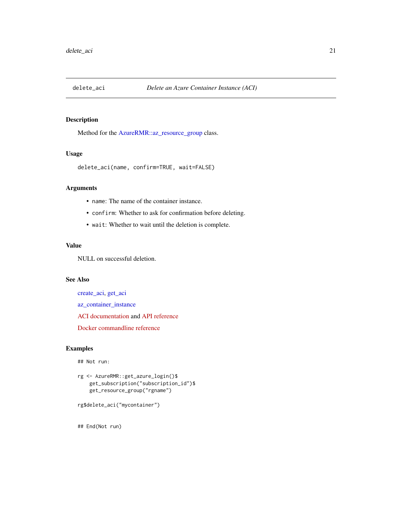<span id="page-20-1"></span><span id="page-20-0"></span>

Method for the [AzureRMR::az\\_resource\\_group](#page-0-0) class.

#### Usage

```
delete_aci(name, confirm=TRUE, wait=FALSE)
```
### Arguments

- name: The name of the container instance.
- confirm: Whether to ask for confirmation before deleting.
- wait: Whether to wait until the deletion is complete.

### Value

NULL on successful deletion.

### See Also

[create\\_aci,](#page-14-1) [get\\_aci](#page-26-1) [az\\_container\\_instance](#page-1-2) [ACI documentation](https://docs.microsoft.com/en-us/azure/container-instances/) and [API reference](https://docs.microsoft.com/en-us/rest/api/container-instances/) [Docker commandline reference](https://docs.docker.com/engine/reference/commandline/cli/)

### Examples

## Not run:

```
rg <- AzureRMR::get_azure_login()$
   get_subscription("subscription_id")$
   get_resource_group("rgname")
```

```
rg$delete_aci("mycontainer")
```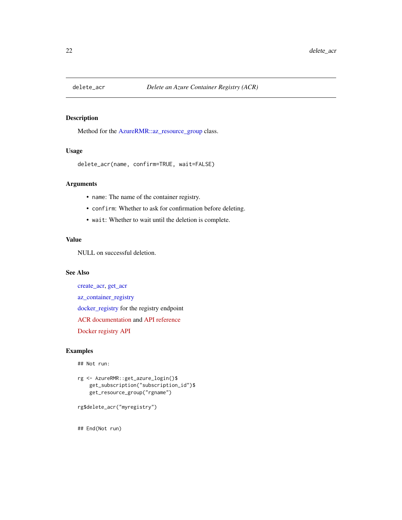<span id="page-21-1"></span><span id="page-21-0"></span>

Method for the [AzureRMR::az\\_resource\\_group](#page-0-0) class.

### Usage

```
delete_acr(name, confirm=TRUE, wait=FALSE)
```
### Arguments

- name: The name of the container registry.
- confirm: Whether to ask for confirmation before deleting.
- wait: Whether to wait until the deletion is complete.

### Value

NULL on successful deletion.

### See Also

[create\\_acr,](#page-16-1) [get\\_acr](#page-27-1) [az\\_container\\_registry](#page-3-2) [docker\\_registry](#page-24-1) for the registry endpoint [ACR documentation](https://docs.microsoft.com/en-us/azure/container-registry/) and [API reference](https://docs.microsoft.com/en-us/rest/api/containerregistry/registries) [Docker registry API](https://docs.docker.com/registry/spec/api/)

### Examples

## Not run:

```
rg <- AzureRMR::get_azure_login()$
   get_subscription("subscription_id")$
   get_resource_group("rgname")
```

```
rg$delete_acr("myregistry")
```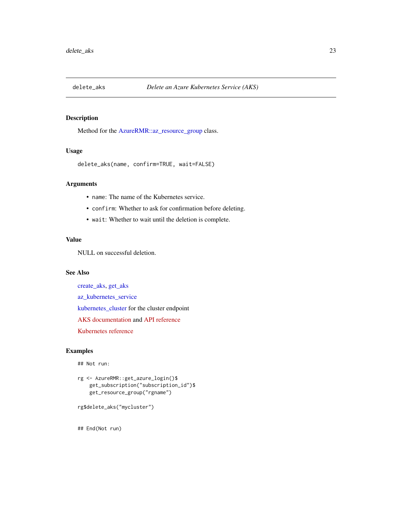<span id="page-22-1"></span><span id="page-22-0"></span>

Method for the [AzureRMR::az\\_resource\\_group](#page-0-0) class.

### Usage

```
delete_aks(name, confirm=TRUE, wait=FALSE)
```
### Arguments

- name: The name of the Kubernetes service.
- confirm: Whether to ask for confirmation before deleting.
- wait: Whether to wait until the deletion is complete.

### Value

NULL on successful deletion.

### See Also

[create\\_aks,](#page-17-1) [get\\_aks](#page-28-1) [az\\_kubernetes\\_service](#page-6-2) [kubernetes\\_cluster](#page-32-1) for the cluster endpoint [AKS documentation](https://docs.microsoft.com/en-us/azure/aks/) and [API reference](https://docs.microsoft.com/en-us/rest/api/aks/) [Kubernetes reference](https://kubernetes.io/docs/reference/)

### Examples

## Not run:

```
rg <- AzureRMR::get_azure_login()$
   get_subscription("subscription_id")$
   get_resource_group("rgname")
```
rg\$delete\_aks("mycluster")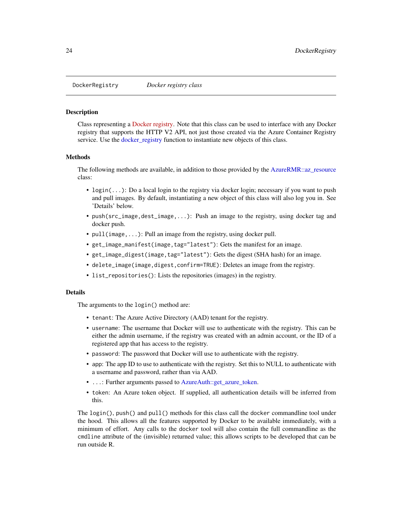<span id="page-23-1"></span><span id="page-23-0"></span>

Class representing a [Docker registry.](https://docs.docker.com/registry/) Note that this class can be used to interface with any Docker registry that supports the HTTP V2 API, not just those created via the Azure Container Registry service. Use the [docker\\_registry](#page-24-1) function to instantiate new objects of this class.

#### Methods

The following methods are available, in addition to those provided by the [AzureRMR::az\\_resource](#page-0-0) class:

- login(...): Do a local login to the registry via docker login; necessary if you want to push and pull images. By default, instantiating a new object of this class will also log you in. See 'Details' below.
- push(src\_image,dest\_image,...): Push an image to the registry, using docker tag and docker push.
- pull(image,...): Pull an image from the registry, using docker pull.
- get\_image\_manifest(image,tag="latest"): Gets the manifest for an image.
- get\_image\_digest(image,tag="latest"): Gets the digest (SHA hash) for an image.
- delete\_image(image,digest,confirm=TRUE): Deletes an image from the registry.
- list\_repositories(): Lists the repositories (images) in the registry.

#### Details

The arguments to the login() method are:

- tenant: The Azure Active Directory (AAD) tenant for the registry.
- username: The username that Docker will use to authenticate with the registry. This can be either the admin username, if the registry was created with an admin account, or the ID of a registered app that has access to the registry.
- password: The password that Docker will use to authenticate with the registry.
- app: The app ID to use to authenticate with the registry. Set this to NULL to authenticate with a username and password, rather than via AAD.
- ...: Further arguments passed to [AzureAuth::get\\_azure\\_token.](#page-0-0)
- token: An Azure token object. If supplied, all authentication details will be inferred from this.

The login(), push() and pull() methods for this class call the docker commandline tool under the hood. This allows all the features supported by Docker to be available immediately, with a minimum of effort. Any calls to the docker tool will also contain the full commandline as the cmdline attribute of the (invisible) returned value; this allows scripts to be developed that can be run outside R.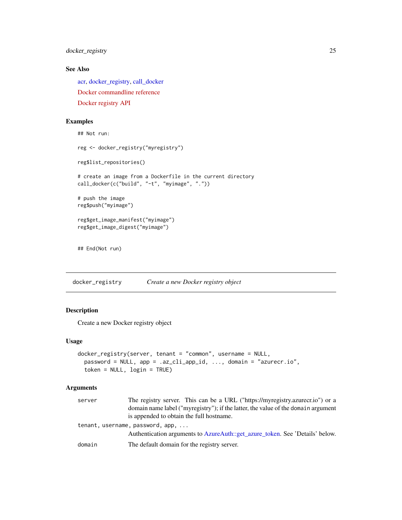<span id="page-24-0"></span>docker\_registry 25

### See Also

[acr,](#page-3-1) [docker\\_registry,](#page-24-1) [call\\_docker](#page-9-1) [Docker commandline reference](https://docs.docker.com/engine/reference/commandline/cli/) [Docker registry API](https://docs.docker.com/registry/spec/api/)

### Examples

```
## Not run:
reg <- docker_registry("myregistry")
reg$list_repositories()
# create an image from a Dockerfile in the current directory
call_docker(c("build", "-t", "myimage", "."))
# push the image
reg$push("myimage")
reg$get_image_manifest("myimage")
reg$get_image_digest("myimage")
## End(Not run)
```
<span id="page-24-1"></span>docker\_registry *Create a new Docker registry object*

### Description

Create a new Docker registry object

#### Usage

```
docker_registry(server, tenant = "common", username = NULL,
 password = NULL, app = .az_cli_app_id, ..., domain = "azurecr.io",
  token = NULL, login = TRUE)
```
### Arguments

| server | The registry server. This can be a URL ("https://myregistry.azurecr.io") or a     |
|--------|-----------------------------------------------------------------------------------|
|        | domain name label ("myregistry"); if the latter, the value of the domain argument |
|        | is appended to obtain the full hostname.                                          |
|        | tenant, username, password, app,                                                  |
|        | Authentication arguments to AzureAuth::get_azure_token. See 'Details' below.      |
| domain | The default domain for the registry server.                                       |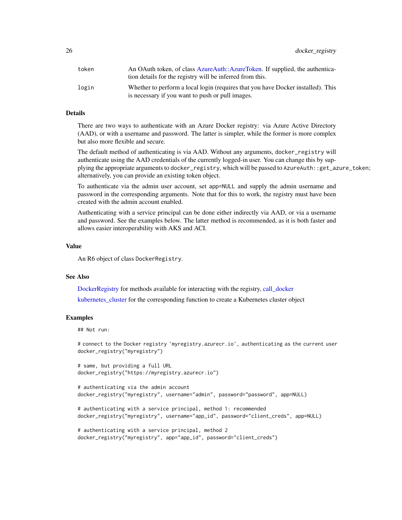<span id="page-25-0"></span>26 docker\_registry

| token | An OAuth token, of class AzureAuth::AzureToken. If supplied, the authentica-<br>tion details for the registry will be inferred from this. |
|-------|-------------------------------------------------------------------------------------------------------------------------------------------|
| login | Whether to perform a local login (requires that you have Docker installed). This<br>is necessary if you want to push or pull images.      |

### Details

There are two ways to authenticate with an Azure Docker registry: via Azure Active Directory (AAD), or with a username and password. The latter is simpler, while the former is more complex but also more flexible and secure.

The default method of authenticating is via AAD. Without any arguments, docker\_registry will authenticate using the AAD credentials of the currently logged-in user. You can change this by supplying the appropriate arguments to docker\_registry, which will be passed to AzureAuth::get\_azure\_token; alternatively, you can provide an existing token object.

To authenticate via the admin user account, set app=NULL and supply the admin username and password in the corresponding arguments. Note that for this to work, the registry must have been created with the admin account enabled.

Authenticating with a service principal can be done either indirectly via AAD, or via a username and password. See the examples below. The latter method is recommended, as it is both faster and allows easier interoperability with AKS and ACI.

#### Value

An R6 object of class DockerRegistry.

### See Also

[DockerRegistry](#page-23-1) for methods available for interacting with the registry, [call\\_docker](#page-9-1)

[kubernetes\\_cluster](#page-32-1) for the corresponding function to create a Kubernetes cluster object

### Examples

## Not run:

# connect to the Docker registry 'myregistry.azurecr.io', authenticating as the current user docker\_registry("myregistry")

# same, but providing a full URL docker\_registry("https://myregistry.azurecr.io")

```
# authenticating via the admin account
docker_registry("myregistry", username="admin", password="password", app=NULL)
```

```
# authenticating with a service principal, method 1: recommended
docker_registry("myregistry", username="app_id", password="client_creds", app=NULL)
```

```
# authenticating with a service principal, method 2
docker_registry("myregistry", app="app_id", password="client_creds")
```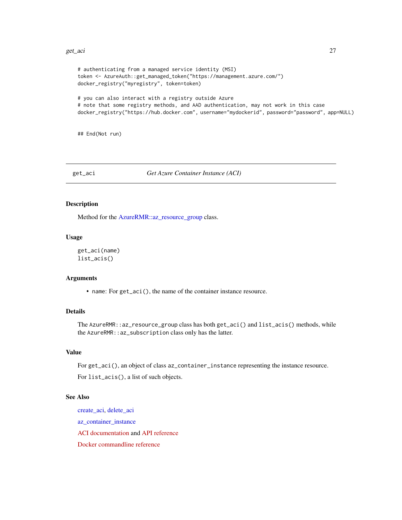#### <span id="page-26-0"></span>get\_aci 27

```
# authenticating from a managed service identity (MSI)
token <- AzureAuth::get_managed_token("https://management.azure.com/")
docker_registry("myregistry", token=token)
```

```
# you can also interact with a registry outside Azure
# note that some registry methods, and AAD authentication, may not work in this case
docker_registry("https://hub.docker.com", username="mydockerid", password="password", app=NULL)
```
## End(Not run)

### <span id="page-26-1"></span>get\_aci *Get Azure Container Instance (ACI)*

### <span id="page-26-2"></span>Description

Method for the [AzureRMR::az\\_resource\\_group](#page-0-0) class.

### Usage

```
get_aci(name)
list_acis()
```
### Arguments

• name: For get\_aci(), the name of the container instance resource.

## Details

The AzureRMR::az\_resource\_group class has both get\_aci() and list\_acis() methods, while the AzureRMR::az\_subscription class only has the latter.

### Value

For get\_aci(), an object of class az\_container\_instance representing the instance resource. For list\_acis(), a list of such objects.

### See Also

[create\\_aci,](#page-14-1) [delete\\_aci](#page-20-1) [az\\_container\\_instance](#page-1-2) [ACI documentation](https://docs.microsoft.com/en-us/azure/container-instances/) and [API reference](https://docs.microsoft.com/en-us/rest/api/container-instances/) [Docker commandline reference](https://docs.docker.com/engine/reference/commandline/cli/)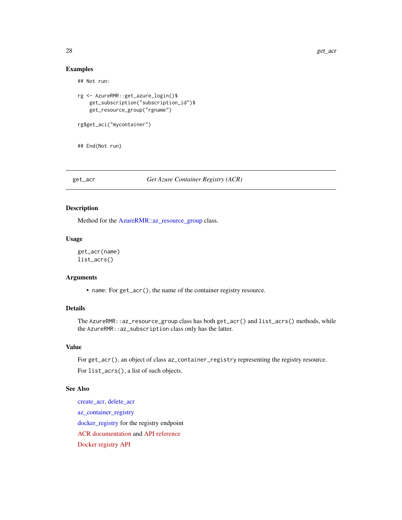### Examples

## Not run:

```
rg <- AzureRMR::get_azure_login()$
    get_subscription("subscription_id")$
   get_resource_group("rgname")
```
rg\$get\_aci("mycontainer")

## End(Not run)

<span id="page-27-1"></span>get\_acr *Get Azure Container Registry (ACR)*

### <span id="page-27-2"></span>Description

Method for the [AzureRMR::az\\_resource\\_group](#page-0-0) class.

### Usage

```
get_acr(name)
list_acrs()
```
### Arguments

• name: For get\_acr(), the name of the container registry resource.

### Details

The AzureRMR::az\_resource\_group class has both get\_acr() and list\_acrs() methods, while the AzureRMR::az\_subscription class only has the latter.

### Value

For get\_acr(), an object of class az\_container\_registry representing the registry resource. For list\_acrs(), a list of such objects.

### See Also

[create\\_acr,](#page-16-1) [delete\\_acr](#page-21-1) [az\\_container\\_registry](#page-3-2) [docker\\_registry](#page-24-1) for the registry endpoint [ACR documentation](https://docs.microsoft.com/en-us/azure/container-registry/) and [API reference](https://docs.microsoft.com/en-us/rest/api/containerregistry/registries) [Docker registry API](https://docs.docker.com/registry/spec/api/)

<span id="page-27-0"></span>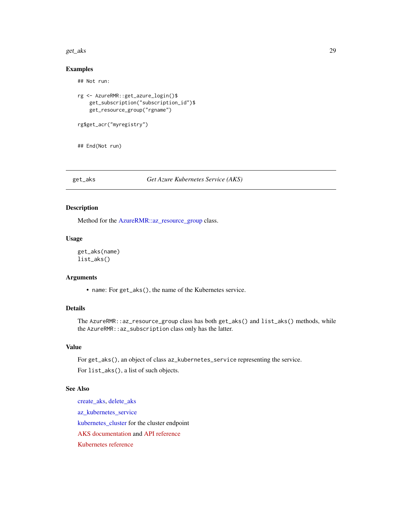#### <span id="page-28-0"></span>get\_aks 29

### Examples

## Not run:

```
rg <- AzureRMR::get_azure_login()$
    get_subscription("subscription_id")$
   get_resource_group("rgname")
```

```
rg$get_acr("myregistry")
```
## End(Not run)

#### <span id="page-28-1"></span>get\_aks *Get Azure Kubernetes Service (AKS)*

### <span id="page-28-2"></span>Description

Method for the [AzureRMR::az\\_resource\\_group](#page-0-0) class.

### Usage

get\_aks(name) list\_aks()

### Arguments

• name: For get\_aks(), the name of the Kubernetes service.

### Details

The AzureRMR::az\_resource\_group class has both get\_aks() and list\_aks() methods, while the AzureRMR::az\_subscription class only has the latter.

### Value

For get\_aks(), an object of class az\_kubernetes\_service representing the service. For list\_aks(), a list of such objects.

### See Also

[create\\_aks,](#page-17-1) [delete\\_aks](#page-22-1) [az\\_kubernetes\\_service](#page-6-2) [kubernetes\\_cluster](#page-32-1) for the cluster endpoint [AKS documentation](https://docs.microsoft.com/en-us/azure/aks/) and [API reference](https://docs.microsoft.com/en-us/rest/api/aks/) [Kubernetes reference](https://kubernetes.io/docs/reference/)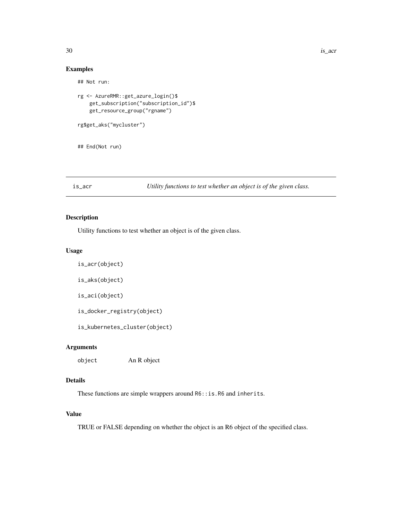### Examples

```
## Not run:
rg <- AzureRMR::get_azure_login()$
    get_subscription("subscription_id")$
   get_resource_group("rgname")
rg$get_aks("mycluster")
## End(Not run)
```
is\_acr *Utility functions to test whether an object is of the given class.*

### Description

Utility functions to test whether an object is of the given class.

#### Usage

```
is_acr(object)
```
is\_aks(object)

is\_aci(object)

is\_docker\_registry(object)

is\_kubernetes\_cluster(object)

### Arguments

object An R object

### Details

These functions are simple wrappers around R6::is.R6 and inherits.

### Value

TRUE or FALSE depending on whether the object is an R6 object of the specified class.

<span id="page-29-0"></span>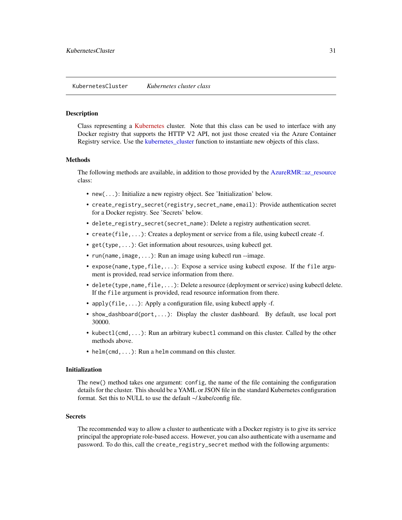<span id="page-30-1"></span><span id="page-30-0"></span>Class representing a [Kubernetes](https://kubernetes.io/docs/home/) cluster. Note that this class can be used to interface with any Docker registry that supports the HTTP V2 API, not just those created via the Azure Container Registry service. Use the kubernetes cluster function to instantiate new objects of this class.

### Methods

The following methods are available, in addition to those provided by the [AzureRMR::az\\_resource](#page-0-0) class:

- new(...): Initialize a new registry object. See 'Initialization' below.
- create\_registry\_secret(registry,secret\_name,email): Provide authentication secret for a Docker registry. See 'Secrets' below.
- delete\_registry\_secret(secret\_name): Delete a registry authentication secret.
- create(file,...): Creates a deployment or service from a file, using kubectl create -f.
- get(type,...): Get information about resources, using kubectl get.
- run(name, image, ...): Run an image using kubectl run --image.
- expose(name,type,file,...): Expose a service using kubectl expose. If the file argument is provided, read service information from there.
- delete(type,name,file,...): Delete a resource (deployment or service) using kubectl delete. If the file argument is provided, read resource information from there.
- apply(file, ...): Apply a configuration file, using kubectl apply -f.
- show\_dashboard(port,...): Display the cluster dashboard. By default, use local port 30000.
- kubectl(cmd, ...): Run an arbitrary kubectl command on this cluster. Called by the other methods above.
- helm(cmd, ...): Run a helm command on this cluster.

#### Initialization

The new() method takes one argument: config, the name of the file containing the configuration details for the cluster. This should be a YAML or JSON file in the standard Kubernetes configuration format. Set this to NULL to use the default ~/.kube/config file.

#### Secrets

The recommended way to allow a cluster to authenticate with a Docker registry is to give its service principal the appropriate role-based access. However, you can also authenticate with a username and password. To do this, call the create\_registry\_secret method with the following arguments: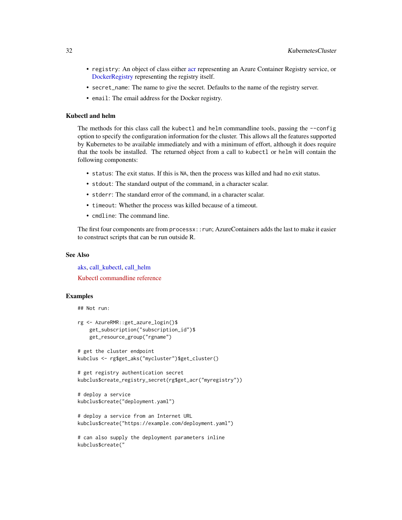- <span id="page-31-0"></span>• registry: An object of class either [acr](#page-3-1) representing an Azure Container Registry service, or [DockerRegistry](#page-23-1) representing the registry itself.
- secret\_name: The name to give the secret. Defaults to the name of the registry server.
- email: The email address for the Docker registry.

### Kubectl and helm

The methods for this class call the kubectl and helm commandline tools, passing the --config option to specify the configuration information for the cluster. This allows all the features supported by Kubernetes to be available immediately and with a minimum of effort, although it does require that the tools be installed. The returned object from a call to kubectl or helm will contain the following components:

- status: The exit status. If this is NA, then the process was killed and had no exit status.
- stdout: The standard output of the command, in a character scalar.
- stderr: The standard error of the command, in a character scalar.
- timeout: Whether the process was killed because of a timeout.
- cmdline: The command line.

The first four components are from processx::run; AzureContainers adds the last to make it easier to construct scripts that can be run outside R.

#### See Also

[aks,](#page-6-1) [call\\_kubectl,](#page-13-1) [call\\_helm](#page-12-1)

[Kubectl commandline reference](https://kubernetes.io/docs/reference/generated/kubectl/kubectl-commands)

### Examples

```
## Not run:
```

```
rg <- AzureRMR::get_azure_login()$
    get_subscription("subscription_id")$
   get_resource_group("rgname")
```

```
# get the cluster endpoint
kubclus <- rg$get_aks("mycluster")$get_cluster()
```

```
# get registry authentication secret
kubclus$create_registry_secret(rg$get_acr("myregistry"))
```

```
# deploy a service
kubclus$create("deployment.yaml")
```

```
# deploy a service from an Internet URL
kubclus$create("https://example.com/deployment.yaml")
```

```
# can also supply the deployment parameters inline
kubclus$create("
```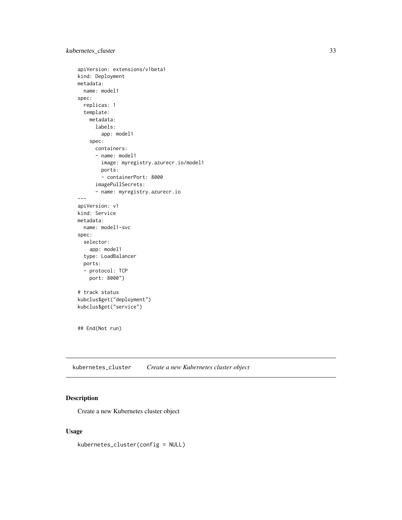### <span id="page-32-0"></span>kubernetes\_cluster 33

```
apiVersion: extensions/v1beta1
kind: Deployment
metadata:
 name: model1
spec:
  replicas: 1
  template:
   metadata:
      labels:
        app: model1
    spec:
      containers:
      - name: model1
        image: myregistry.azurecr.io/model1
       ports:
        - containerPort: 8000
      imagePullSecrets:
      - name: myregistry.azurecr.io
---
apiVersion: v1
kind: Service
metadata:
  name: model1-svc
spec:
  selector:
   app: model1
  type: LoadBalancer
  ports:
  - protocol: TCP
   port: 8000")
# track status
kubclus$get("deployment")
kubclus$get("service")
## End(Not run)
```
<span id="page-32-1"></span>kubernetes\_cluster *Create a new Kubernetes cluster object*

### Description

Create a new Kubernetes cluster object

### Usage

kubernetes\_cluster(config = NULL)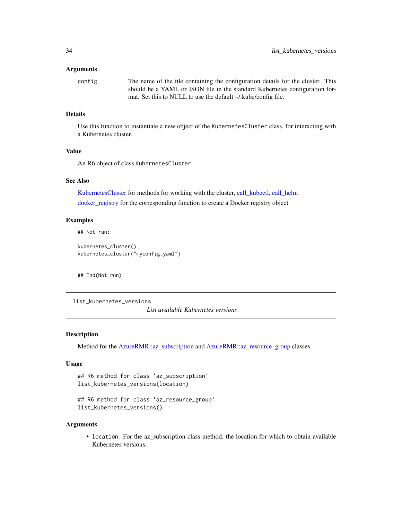#### <span id="page-33-0"></span>**Arguments**

```
config The name of the file containing the configuration details for the cluster. This
                  should be a YAML or JSON file in the standard Kubernetes configuration for-
                  mat. Set this to NULL to use the default ~/.kube/config file.
```
### Details

Use this function to instantiate a new object of the KubernetesCluster class, for interacting with a Kubernetes cluster.

### Value

An R6 object of class KubernetesCluster.

### See Also

[KubernetesCluster](#page-30-1) for methods for working with the cluster, [call\\_kubectl,](#page-13-1) [call\\_helm](#page-12-1) [docker\\_registry](#page-24-1) for the corresponding function to create a Docker registry object

### Examples

## Not run:

kubernetes\_cluster() kubernetes\_cluster("myconfig.yaml")

## End(Not run)

list\_kubernetes\_versions

*List available Kubernetes versions*

### Description

Method for the [AzureRMR::az\\_subscription](#page-0-0) and [AzureRMR::az\\_resource\\_group](#page-0-0) classes.

#### Usage

```
## R6 method for class 'az_subscription'
list_kubernetes_versions(location)
```

```
## R6 method for class 'az_resource_group'
list_kubernetes_versions()
```
#### Arguments

• location: For the az\_subscription class method, the location for which to obtain available Kubernetes versions.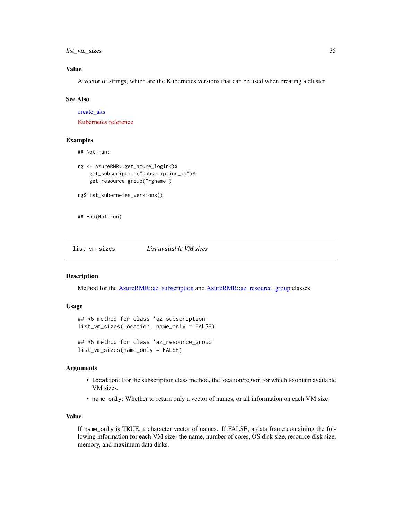<span id="page-34-0"></span>list\_vm\_sizes 35

### Value

A vector of strings, which are the Kubernetes versions that can be used when creating a cluster.

#### See Also

[create\\_aks](#page-17-1)

[Kubernetes reference](https://kubernetes.io/docs/reference/)

### Examples

```
## Not run:
```

```
rg <- AzureRMR::get_azure_login()$
    get_subscription("subscription_id")$
   get_resource_group("rgname")
rg$list_kubernetes_versions()
```
## End(Not run)

<span id="page-34-1"></span>list\_vm\_sizes *List available VM sizes*

### Description

Method for the [AzureRMR::az\\_subscription](#page-0-0) and [AzureRMR::az\\_resource\\_group](#page-0-0) classes.

### Usage

```
## R6 method for class 'az_subscription'
list_vm_sizes(location, name_only = FALSE)
## R6 method for class 'az_resource_group'
```
list\_vm\_sizes(name\_only = FALSE)

### Arguments

- location: For the subscription class method, the location/region for which to obtain available VM sizes.
- name\_only: Whether to return only a vector of names, or all information on each VM size.

### Value

If name\_only is TRUE, a character vector of names. If FALSE, a data frame containing the following information for each VM size: the name, number of cores, OS disk size, resource disk size, memory, and maximum data disks.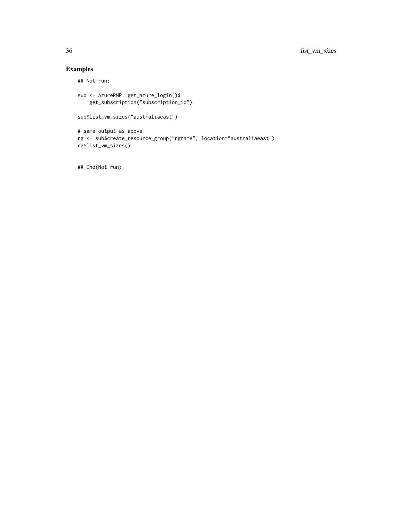## Examples

## Not run:

```
sub <- AzureRMR::get_azure_login()$
    get_subscription("subscription_id")
sub$list_vm_sizes("australiaeast")
# same output as above
rg <- sub$create_resource_group("rgname", location="australiaeast")
rg$list_vm_sizes()
```